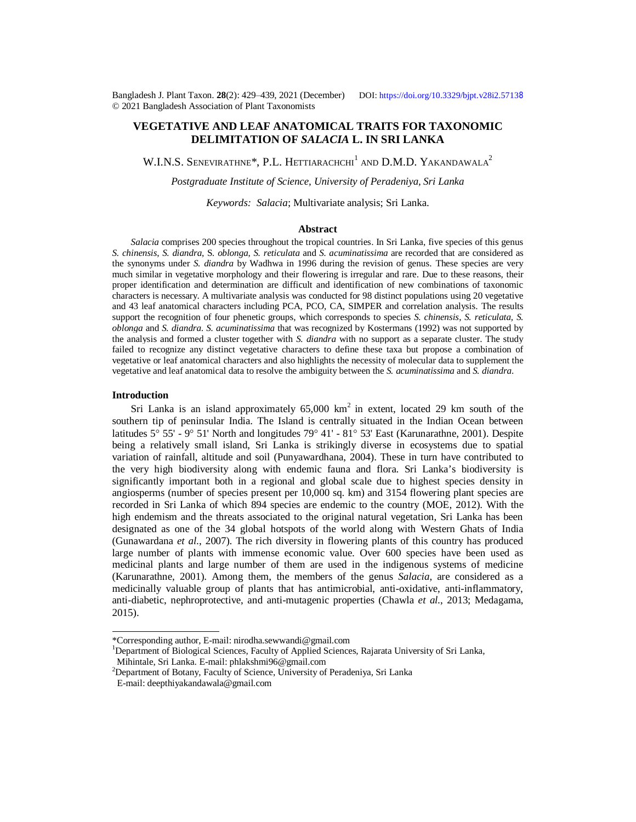Bangladesh J. Plant Taxon. **28**(2): 429‒439, 2021 (December) DOI:<https://doi.org/10.3329/bjpt.v28i2.5713>8 © 2021 Bangladesh Association of Plant Taxonomists

# **VEGETATIVE AND LEAF ANATOMICAL TRAITS FOR TAXONOMIC DELIMITATION OF** *SALACIA* **L. IN SRI LANKA**

W.I.N.S. SENEVIRATHNE\*, P.L. HETTIARACHCHI<sup>1</sup> and D.M.D. Yakandawala<sup>2</sup>

*Postgraduate Institute of Science, University of Peradeniya, Sri Lanka*

*Keywords: Salacia*; Multivariate analysis; Sri Lanka.

#### **Abstract**

*Salacia* comprises 200 species throughout the tropical countries. In Sri Lanka, five species of this genus *S. chinensis*, *S. diandra*, S*. oblonga*, *S. reticulata* and *S. acuminatissima* are recorded that are considered as the synonyms under *S. diandra* by Wadhwa in 1996 during the revision of genus. These species are very much similar in vegetative morphology and their flowering is irregular and rare. Due to these reasons, their proper identification and determination are difficult and identification of new combinations of taxonomic characters is necessary. A multivariate analysis was conducted for 98 distinct populations using 20 vegetative and 43 leaf anatomical characters including PCA, PCO, CA, SIMPER and correlation analysis. The results support the recognition of four phenetic groups, which corresponds to species *S. chinensis*, *S. reticulata, S. oblonga* and *S. diandra*. *S. acuminatissima* that was recognized by Kostermans (1992) was not supported by the analysis and formed a cluster together with *S. diandra* with no support as a separate cluster. The study failed to recognize any distinct vegetative characters to define these taxa but propose a combination of vegetative or leaf anatomical characters and also highlights the necessity of molecular data to supplement the vegetative and leaf anatomical data to resolve the ambiguity between the *S. acuminatissima* and *S. diandra*.

### **Introduction**

Sri Lanka is an island approximately  $65,000$  km<sup>2</sup> in extent, located 29 km south of the southern tip of peninsular India. The Island is centrally situated in the Indian Ocean between latitudes 5° 55' - 9° 51' North and longitudes 79° 41' - 81° 53' East (Karunarathne, 2001). Despite being a relatively small island, Sri Lanka is strikingly diverse in ecosystems due to spatial variation of rainfall, altitude and soil (Punyawardhana, 2004). These in turn have contributed to the very high biodiversity along with endemic fauna and flora. Sri Lanka's biodiversity is significantly important both in a regional and global scale due to highest species density in angiosperms (number of species present per 10,000 sq. km) and 3154 flowering plant species are recorded in Sri Lanka of which 894 species are endemic to the country (MOE, 2012). With the high endemism and the threats associated to the original natural vegetation, Sri Lanka has been designated as one of the 34 global hotspots of the world along with Western Ghats of India (Gunawardana *et al*., 2007). The rich diversity in flowering plants of this country has produced large number of plants with immense economic value. Over 600 species have been used as medicinal plants and large number of them are used in the indigenous systems of medicine (Karunarathne, 2001). Among them, the members of the genus *Salacia*, are considered as a medicinally valuable group of plants that has antimicrobial, anti-oxidative, anti-inflammatory, anti-diabetic, nephroprotective, and anti-mutagenic properties (Chawla *et al.*, 2013; Medagama, 2015).

<sup>\*</sup>Corresponding author, E-mail: [nirodha.sewwandi@gmail.com](mailto:nirodha.sewwandi@gmail.com)

<sup>&</sup>lt;sup>1</sup>Department of Biological Sciences, Faculty of Applied Sciences, Rajarata University of Sri Lanka,

Mihintale, Sri Lanka. E-mail: [phlakshmi96@gmail.com](mailto:phlakshmi96@gmail.com)

 $^{2}$ Department of Botany, Faculty of Science, University of Peradeniya, Sri Lanka

E-mail: [deepthiyakandawala@gmail.com](mailto:deepthiyakandawala@gmail.com)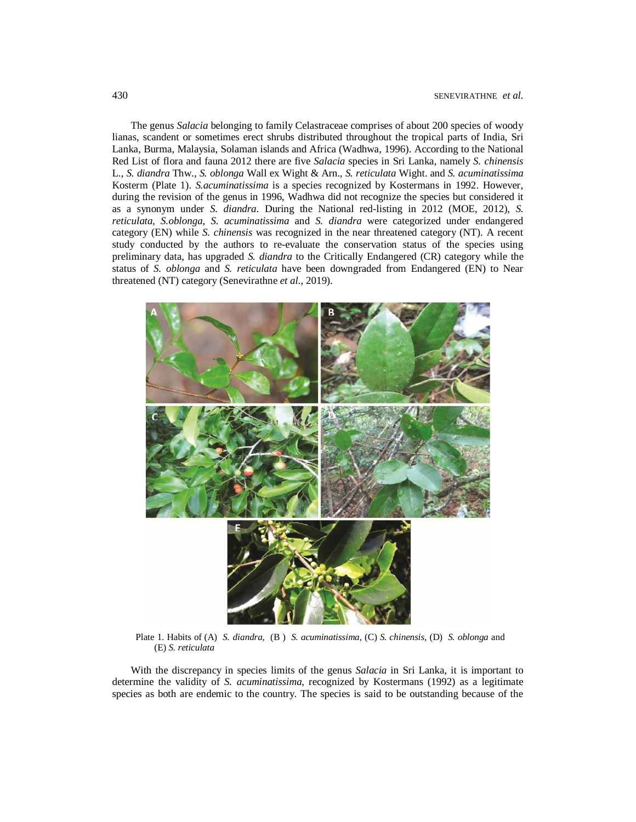The genus *Salacia* belonging to family Celastraceae comprises of about 200 species of woody lianas, scandent or sometimes erect shrubs distributed throughout the tropical parts of India, Sri Lanka, Burma, Malaysia, Solaman islands and Africa (Wadhwa, 1996). According to the National Red List of flora and fauna 2012 there are five *Salacia* species in Sri Lanka, namely *S. chinensis* L., *S. diandra* Thw., *S. oblonga* Wall ex Wight & Arn., *S. reticulata* Wight. and *S. acuminatissima* Kosterm (Plate 1). *S.acuminatissima* is a species recognized by Kostermans in 1992. However, during the revision of the genus in 1996, Wadhwa did not recognize the species but considered it as a synonym under *S. diandra*. During the National red-listing in 2012 (MOE, 2012), *S. reticulata, S.oblonga*, *S. acuminatissima* and *S. diandra* were categorized under endangered category (EN) while *S. chinensis* was recognized in the near threatened category (NT). A recent study conducted by the authors to re-evaluate the conservation status of the species using preliminary data, has upgraded *S. diandra* to the Critically Endangered (CR) category while the status of *S. oblonga* and *S. reticulata* have been downgraded from Endangered (EN) to Near threatened (NT) category (Senevirathne *et al*., 2019).



Plate 1. Habits of (A) *S. diandra,* (B ) *S. acuminatissima*, (C) *S. chinensis*, (D) *S. oblonga* and (E) *S. reticulata*

With the discrepancy in species limits of the genus *Salacia* in Sri Lanka, it is important to determine the validity of *S. acuminatissima*, recognized by Kostermans (1992) as a legitimate species as both are endemic to the country. The species is said to be outstanding because of the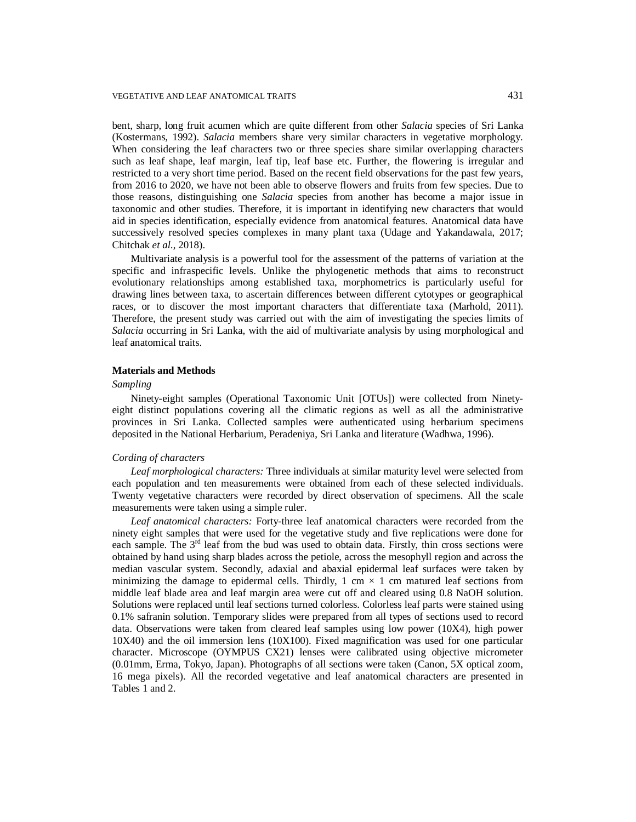bent, sharp, long fruit acumen which are quite different from other *Salacia* species of Sri Lanka (Kostermans, 1992). *Salacia* members share very similar characters in vegetative morphology. When considering the leaf characters two or three species share similar overlapping characters such as leaf shape, leaf margin, leaf tip, leaf base etc. Further, the flowering is irregular and restricted to a very short time period. Based on the recent field observations for the past few years, from 2016 to 2020, we have not been able to observe flowers and fruits from few species. Due to those reasons, distinguishing one *Salacia* species from another has become a major issue in taxonomic and other studies. Therefore, it is important in identifying new characters that would aid in species identification, especially evidence from anatomical features. Anatomical data have successively resolved species complexes in many plant taxa (Udage and Yakandawala, 2017; Chitchak *et al*., 2018).

Multivariate analysis is a powerful tool for the assessment of the patterns of variation at the specific and infraspecific levels. Unlike the phylogenetic methods that aims to reconstruct evolutionary relationships among established taxa, morphometrics is particularly useful for drawing lines between taxa, to ascertain differences between different cytotypes or geographical races, or to discover the most important characters that differentiate taxa (Marhold, 2011). Therefore, the present study was carried out with the aim of investigating the species limits of *Salacia* occurring in Sri Lanka, with the aid of multivariate analysis by using morphological and leaf anatomical traits.

## **Materials and Methods**

#### *Sampling*

Ninety-eight samples (Operational Taxonomic Unit [OTUs]) were collected from Ninetyeight distinct populations covering all the climatic regions as well as all the administrative provinces in Sri Lanka. Collected samples were authenticated using herbarium specimens deposited in the National Herbarium, Peradeniya, Sri Lanka and literature (Wadhwa, 1996).

## *Cording of characters*

*Leaf morphological characters:* Three individuals at similar maturity level were selected from each population and ten measurements were obtained from each of these selected individuals. Twenty vegetative characters were recorded by direct observation of specimens. All the scale measurements were taken using a simple ruler.

*Leaf anatomical characters:* Forty-three leaf anatomical characters were recorded from the ninety eight samples that were used for the vegetative study and five replications were done for each sample. The  $3<sup>rd</sup>$  leaf from the bud was used to obtain data. Firstly, thin cross sections were obtained by hand using sharp blades across the petiole, across the mesophyll region and across the median vascular system. Secondly, adaxial and abaxial epidermal leaf surfaces were taken by minimizing the damage to epidermal cells. Thirdly, 1 cm  $\times$  1 cm matured leaf sections from middle leaf blade area and leaf margin area were cut off and cleared using 0.8 NaOH solution. Solutions were replaced until leaf sections turned colorless. Colorless leaf parts were stained using 0.1% safranin solution. Temporary slides were prepared from all types of sections used to record data. Observations were taken from cleared leaf samples using low power (10X4), high power 10X40) and the oil immersion lens (10X100). Fixed magnification was used for one particular character. Microscope (OYMPUS CX21) lenses were calibrated using objective micrometer (0.01mm, Erma, Tokyo, Japan). Photographs of all sections were taken (Canon, 5X optical zoom, 16 mega pixels). All the recorded vegetative and leaf anatomical characters are presented in Tables 1 and 2.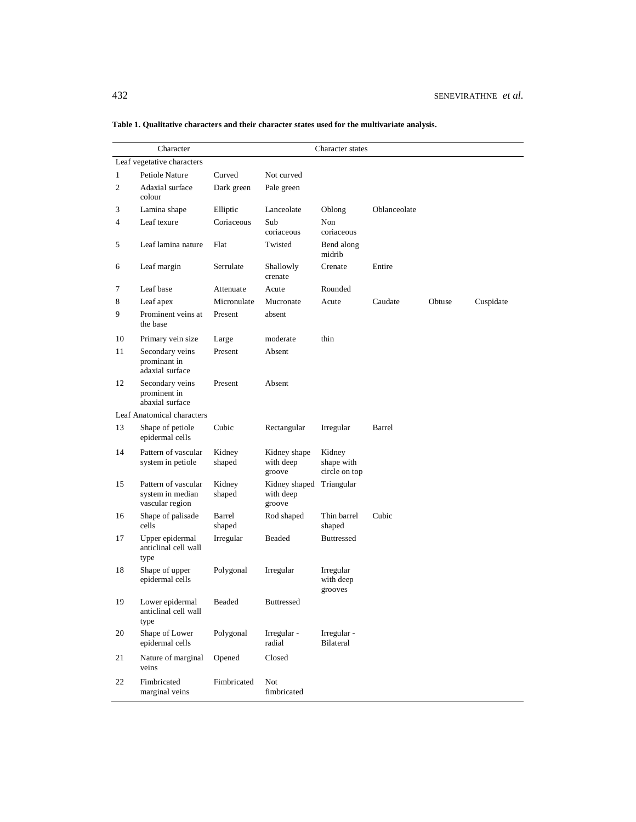|                            | Character                                                  |                  |                                                 | Character states                      |              |        |           |
|----------------------------|------------------------------------------------------------|------------------|-------------------------------------------------|---------------------------------------|--------------|--------|-----------|
| Leaf vegetative characters |                                                            |                  |                                                 |                                       |              |        |           |
| 1                          | Petiole Nature                                             | Curved           | Not curved                                      |                                       |              |        |           |
| 2                          | Adaxial surface<br>colour                                  | Dark green       | Pale green                                      |                                       |              |        |           |
| 3                          | Lamina shape                                               | Elliptic         | Lanceolate                                      | Oblong                                | Oblanceolate |        |           |
| 4                          | Leaf texure                                                | Coriaceous       | Sub<br>coriaceous                               | Non<br>coriaceous                     |              |        |           |
| 5                          | Leaf lamina nature                                         | Flat             | Twisted                                         | Bend along<br>midrib                  |              |        |           |
| 6                          | Leaf margin                                                | Serrulate        | Shallowly<br>crenate                            | Crenate                               | Entire       |        |           |
| 7                          | Leaf base                                                  | Attenuate        | Acute                                           | Rounded                               |              |        |           |
| 8                          | Leaf apex                                                  | Micronulate      | Mucronate                                       | Acute                                 | Caudate      | Obtuse | Cuspidate |
| 9                          | Prominent veins at<br>the base                             | Present          | absent                                          |                                       |              |        |           |
| 10                         | Primary vein size                                          | Large            | moderate                                        | thin                                  |              |        |           |
| 11                         | Secondary veins<br>prominant in<br>adaxial surface         | Present          | Absent                                          |                                       |              |        |           |
| 12                         | Secondary veins<br>prominent in<br>abaxial surface         | Present          | Absent                                          |                                       |              |        |           |
|                            | Leaf Anatomical characters                                 |                  |                                                 |                                       |              |        |           |
| 13                         | Shape of petiole<br>epidermal cells                        | Cubic            | Rectangular                                     | Irregular                             | Barrel       |        |           |
| 14                         | Pattern of vascular<br>system in petiole                   | Kidney<br>shaped | Kidney shape<br>with deep<br>groove             | Kidney<br>shape with<br>circle on top |              |        |           |
| 15                         | Pattern of vascular<br>system in median<br>vascular region | Kidney<br>shaped | Kidney shaped Triangular<br>with deep<br>groove |                                       |              |        |           |
| 16                         | Shape of palisade<br>cells                                 | Barrel<br>shaped | Rod shaped                                      | Thin barrel<br>shaped                 | Cubic        |        |           |
| 17                         | Upper epidermal<br>anticlinal cell wall<br>type            | Irregular        | Beaded                                          | <b>Buttressed</b>                     |              |        |           |
| 18                         | Shape of upper<br>epidermal cells                          | Polygonal        | Irregular                                       | Irregular<br>with deep<br>grooves     |              |        |           |
| 19                         | Lower epidermal<br>anticlinal cell wall<br>type            | Beaded           | Buttressed                                      |                                       |              |        |           |
| 20                         | Shape of Lower<br>epidermal cells                          | Polygonal        | Irregular -<br>radial                           | Irregular -<br>Bilateral              |              |        |           |
| 21                         | Nature of marginal<br>veins                                | Opened           | Closed                                          |                                       |              |        |           |
| 22                         | Fimbricated<br>marginal veins                              | Fimbricated      | Not<br>fimbricated                              |                                       |              |        |           |

**Table 1. Qualitative characters and their character states used for the multivariate analysis.**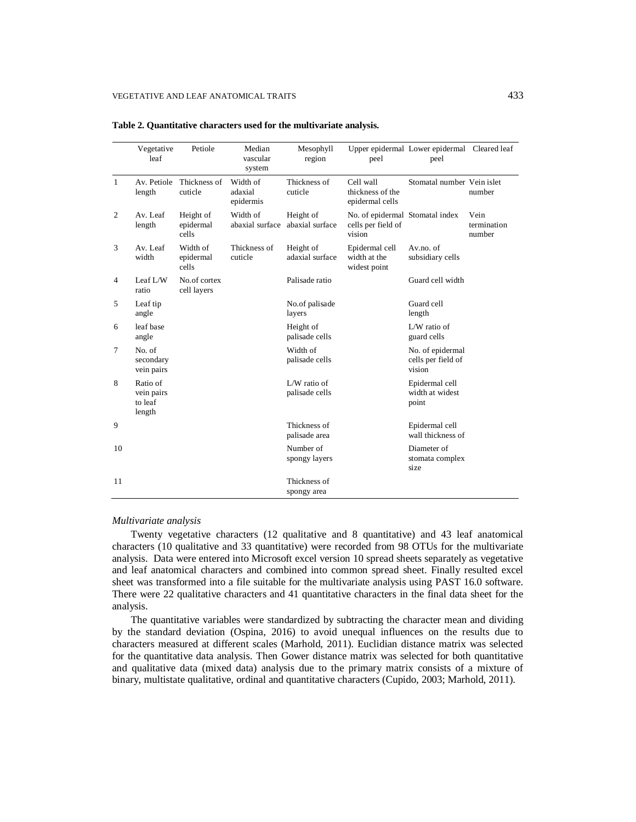|              | Vegetative<br>leaf                          | Petiole                         | Median<br>vascular<br>system     | Mesophyll<br>region            | peel                                                            | Upper epidermal Lower epidermal Cleared leaf<br>peel |                               |
|--------------|---------------------------------------------|---------------------------------|----------------------------------|--------------------------------|-----------------------------------------------------------------|------------------------------------------------------|-------------------------------|
| $\mathbf{1}$ | Av. Petiole<br>length                       | Thickness of<br>cuticle         | Width of<br>adaxial<br>epidermis | Thickness of<br>cuticle        | Cell wall<br>thickness of the<br>epidermal cells                | Stomatal number Vein islet                           | number                        |
| 2            | Av. Leaf<br>length                          | Height of<br>epidermal<br>cells | Width of<br>abaxial surface      | Height of<br>abaxial surface   | No. of epidermal Stomatal index<br>cells per field of<br>vision |                                                      | Vein<br>termination<br>number |
| 3            | Av. Leaf<br>width                           | Width of<br>epidermal<br>cells  | Thickness of<br>cuticle          | Height of<br>adaxial surface   | Epidermal cell<br>width at the<br>widest point                  | Av.no. of<br>subsidiary cells                        |                               |
| 4            | Leaf $L/W$<br>ratio                         | No.of cortex<br>cell layers     |                                  | Palisade ratio                 |                                                                 | Guard cell width                                     |                               |
| 5            | Leaf tip<br>angle                           |                                 |                                  | No.of palisade<br>layers       |                                                                 | Guard cell<br>length                                 |                               |
| 6            | leaf base<br>angle                          |                                 |                                  | Height of<br>palisade cells    |                                                                 | $L/W$ ratio of<br>guard cells                        |                               |
| $\tau$       | No. of<br>secondary<br>vein pairs           |                                 |                                  | Width of<br>palisade cells     |                                                                 | No. of epidermal<br>cells per field of<br>vision     |                               |
| 8            | Ratio of<br>vein pairs<br>to leaf<br>length |                                 |                                  | L/W ratio of<br>palisade cells |                                                                 | Epidermal cell<br>width at widest<br>point           |                               |
| 9            |                                             |                                 |                                  | Thickness of<br>palisade area  |                                                                 | Epidermal cell<br>wall thickness of                  |                               |
| 10           |                                             |                                 |                                  | Number of<br>spongy layers     |                                                                 | Diameter of<br>stomata complex<br>size               |                               |
| 11           |                                             |                                 |                                  | Thickness of<br>spongy area    |                                                                 |                                                      |                               |

**Table 2. Quantitative characters used for the multivariate analysis.**

#### *Multivariate analysis*

Twenty vegetative characters (12 qualitative and 8 quantitative) and 43 leaf anatomical characters (10 qualitative and 33 quantitative) were recorded from 98 OTUs for the multivariate analysis. Data were entered into Microsoft excel version 10 spread sheets separately as vegetative and leaf anatomical characters and combined into common spread sheet. Finally resulted excel sheet was transformed into a file suitable for the multivariate analysis using PAST 16.0 software. There were 22 qualitative characters and 41 quantitative characters in the final data sheet for the analysis.

The quantitative variables were standardized by subtracting the character mean and dividing by the standard deviation (Ospina, 2016) to avoid unequal influences on the results due to characters measured at different scales (Marhold, 2011). Euclidian distance matrix was selected for the quantitative data analysis. Then Gower distance matrix was selected for both quantitative and qualitative data (mixed data) analysis due to the primary matrix consists of a mixture of binary, multistate qualitative, ordinal and quantitative characters (Cupido, 2003; Marhold, 2011).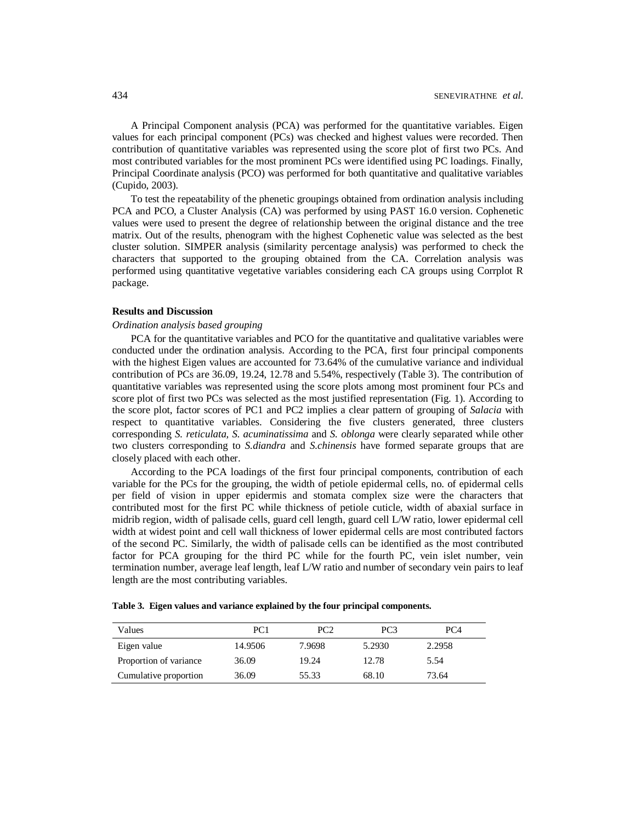A Principal Component analysis (PCA) was performed for the quantitative variables. Eigen values for each principal component (PCs) was checked and highest values were recorded. Then contribution of quantitative variables was represented using the score plot of first two PCs. And most contributed variables for the most prominent PCs were identified using PC loadings. Finally, Principal Coordinate analysis (PCO) was performed for both quantitative and qualitative variables (Cupido, 2003).

To test the repeatability of the phenetic groupings obtained from ordination analysis including PCA and PCO, a Cluster Analysis (CA) was performed by using PAST 16.0 version. Cophenetic values were used to present the degree of relationship between the original distance and the tree matrix. Out of the results, phenogram with the highest Cophenetic value was selected as the best cluster solution. SIMPER analysis (similarity percentage analysis) was performed to check the characters that supported to the grouping obtained from the CA. Correlation analysis was performed using quantitative vegetative variables considering each CA groups using Corrplot R package.

### **Results and Discussion**

#### *Ordination analysis based grouping*

PCA for the quantitative variables and PCO for the quantitative and qualitative variables were conducted under the ordination analysis. According to the PCA, first four principal components with the highest Eigen values are accounted for 73.64% of the cumulative variance and individual contribution of PCs are 36.09, 19.24, 12.78 and 5.54%, respectively (Table 3). The contribution of quantitative variables was represented using the score plots among most prominent four PCs and score plot of first two PCs was selected as the most justified representation (Fig. 1). According to the score plot, factor scores of PC1 and PC2 implies a clear pattern of grouping of *Salacia* with respect to quantitative variables. Considering the five clusters generated, three clusters corresponding *S. reticulata, S. acuminatissima* and *S. oblonga* were clearly separated while other two clusters corresponding to *S.diandra* and *S.chinensis* have formed separate groups that are closely placed with each other.

According to the PCA loadings of the first four principal components, contribution of each variable for the PCs for the grouping, the width of petiole epidermal cells, no. of epidermal cells per field of vision in upper epidermis and stomata complex size were the characters that contributed most for the first PC while thickness of petiole cuticle, width of abaxial surface in midrib region, width of palisade cells, guard cell length, guard cell L/W ratio, lower epidermal cell width at widest point and cell wall thickness of lower epidermal cells are most contributed factors of the second PC. Similarly, the width of palisade cells can be identified as the most contributed factor for PCA grouping for the third PC while for the fourth PC, vein islet number, vein termination number, average leaf length, leaf L/W ratio and number of secondary vein pairs to leaf length are the most contributing variables.

| Values                 | PC <sub>1</sub> | PC2    | PC <sub>3</sub> | PC <sub>4</sub> |
|------------------------|-----------------|--------|-----------------|-----------------|
| Eigen value            | 14.9506         | 7.9698 | 5.2930          | 2.2958          |
| Proportion of variance | 36.09           | 19.24  | 12.78           | 5.54            |
| Cumulative proportion  | 36.09           | 55.33  | 68.10           | 73.64           |

|  | Table 3. Eigen values and variance explained by the four principal components. |
|--|--------------------------------------------------------------------------------|
|  |                                                                                |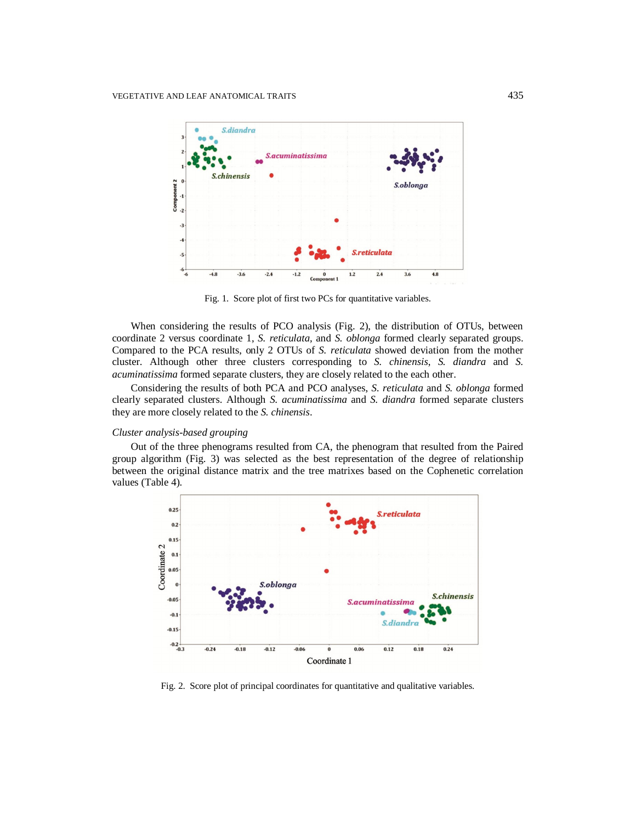

Fig. 1. Score plot of first two PCs for quantitative variables.

When considering the results of PCO analysis (Fig. 2), the distribution of OTUs, between coordinate 2 versus coordinate 1, *S. reticulata,* and *S. oblonga* formed clearly separated groups. Compared to the PCA results, only 2 OTUs of *S. reticulata* showed deviation from the mother cluster. Although other three clusters corresponding to *S. chinensis*, *S. diandra* and *S. acuminatissima* formed separate clusters, they are closely related to the each other.

Considering the results of both PCA and PCO analyses, *S. reticulata* and *S. oblonga* formed clearly separated clusters. Although *S. acuminatissima* and *S. diandra* formed separate clusters they are more closely related to the *S. chinensis*.

#### *Cluster analysis-based grouping*

Out of the three phenograms resulted from CA, the phenogram that resulted from the Paired group algorithm (Fig. 3) was selected as the best representation of the degree of relationship between the original distance matrix and the tree matrixes based on the Cophenetic correlation values (Table 4).



Fig. 2. Score plot of principal coordinates for quantitative and qualitative variables.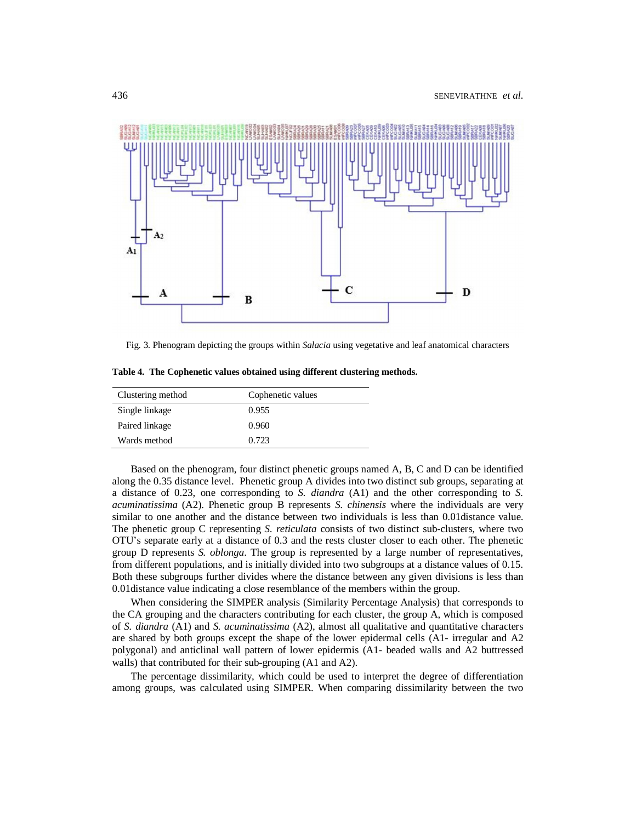

Fig. 3. Phenogram depicting the groups within *Salacia* using vegetative and leaf anatomical characters

**Table 4. The Cophenetic values obtained using different clustering methods.**

| Clustering method | Cophenetic values |
|-------------------|-------------------|
| Single linkage    | 0.955             |
| Paired linkage    | 0.960             |
| Wards method      | 0.723             |

Based on the phenogram, four distinct phenetic groups named A, B, C and D can be identified along the 0.35 distance level. Phenetic group A divides into two distinct sub groups, separating at a distance of 0.23, one corresponding to *S. diandra* (A1) and the other corresponding to *S. acuminatissima* (A2). Phenetic group B represents *S. chinensis* where the individuals are very similar to one another and the distance between two individuals is less than 0.01distance value. The phenetic group C representing *S. reticulata* consists of two distinct sub-clusters, where two OTU's separate early at a distance of 0.3 and the rests cluster closer to each other. The phenetic group D represents *S. oblonga*. The group is represented by a large number of representatives, from different populations, and is initially divided into two subgroups at a distance values of 0.15. Both these subgroups further divides where the distance between any given divisions is less than 0.01distance value indicating a close resemblance of the members within the group.

When considering the SIMPER analysis (Similarity Percentage Analysis) that corresponds to the CA grouping and the characters contributing for each cluster, the group A, which is composed of *S. diandra* (A1) and *S. acuminatissima* (A2), almost all qualitative and quantitative characters are shared by both groups except the shape of the lower epidermal cells (A1- irregular and A2 polygonal) and anticlinal wall pattern of lower epidermis (A1- beaded walls and A2 buttressed walls) that contributed for their sub-grouping (A1 and A2).

The percentage dissimilarity, which could be used to interpret the degree of differentiation among groups, was calculated using SIMPER. When comparing dissimilarity between the two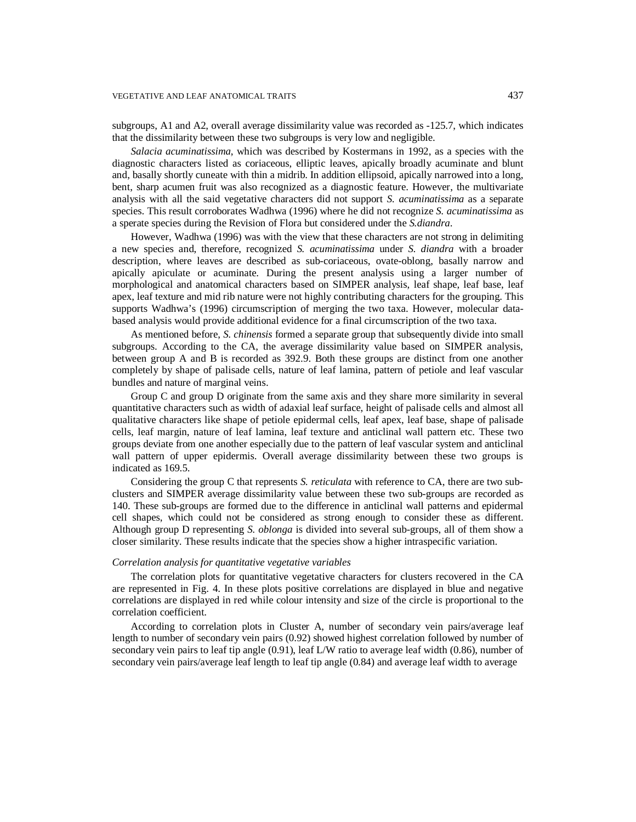subgroups, A1 and A2, overall average dissimilarity value was recorded as -125.7, which indicates that the dissimilarity between these two subgroups is very low and negligible.

*Salacia acuminatissima*, which was described by Kostermans in 1992, as a species with the diagnostic characters listed as coriaceous, elliptic leaves, apically broadly acuminate and blunt and, basally shortly cuneate with thin a midrib. In addition ellipsoid, apically narrowed into a long, bent, sharp acumen fruit was also recognized as a diagnostic feature. However, the multivariate analysis with all the said vegetative characters did not support *S. acuminatissima* as a separate species. This result corroborates Wadhwa (1996) where he did not recognize *S. acuminatissima* as a sperate species during the Revision of Flora but considered under the *S.diandra*.

However, Wadhwa (1996) was with the view that these characters are not strong in delimiting a new species and, therefore, recognized *S. acuminatissima* under *S. diandra* with a broader description, where leaves are described as sub-coriaceous, ovate-oblong, basally narrow and apically apiculate or acuminate. During the present analysis using a larger number of morphological and anatomical characters based on SIMPER analysis, leaf shape, leaf base, leaf apex, leaf texture and mid rib nature were not highly contributing characters for the grouping. This supports Wadhwa's (1996) circumscription of merging the two taxa. However, molecular databased analysis would provide additional evidence for a final circumscription of the two taxa.

As mentioned before, *S. chinensis* formed a separate group that subsequently divide into small subgroups. According to the CA, the average dissimilarity value based on SIMPER analysis, between group A and B is recorded as 392.9. Both these groups are distinct from one another completely by shape of palisade cells, nature of leaf lamina, pattern of petiole and leaf vascular bundles and nature of marginal veins.

Group C and group D originate from the same axis and they share more similarity in several quantitative characters such as width of adaxial leaf surface, height of palisade cells and almost all qualitative characters like shape of petiole epidermal cells, leaf apex, leaf base, shape of palisade cells, leaf margin, nature of leaf lamina, leaf texture and anticlinal wall pattern etc. These two groups deviate from one another especially due to the pattern of leaf vascular system and anticlinal wall pattern of upper epidermis. Overall average dissimilarity between these two groups is indicated as 169.5.

Considering the group C that represents *S. reticulata* with reference to CA, there are two subclusters and SIMPER average dissimilarity value between these two sub-groups are recorded as 140. These sub-groups are formed due to the difference in anticlinal wall patterns and epidermal cell shapes, which could not be considered as strong enough to consider these as different. Although group D representing *S. oblonga* is divided into several sub-groups, all of them show a closer similarity. These results indicate that the species show a higher intraspecific variation.

### *Correlation analysis for quantitative vegetative variables*

The correlation plots for quantitative vegetative characters for clusters recovered in the CA are represented in Fig. 4. In these plots positive correlations are displayed in blue and negative correlations are displayed in red while colour intensity and size of the circle is proportional to the correlation coefficient.

According to correlation plots in Cluster A, number of secondary vein pairs/average leaf length to number of secondary vein pairs (0.92) showed highest correlation followed by number of secondary vein pairs to leaf tip angle (0.91), leaf L/W ratio to average leaf width (0.86), number of secondary vein pairs/average leaf length to leaf tip angle (0.84) and average leaf width to average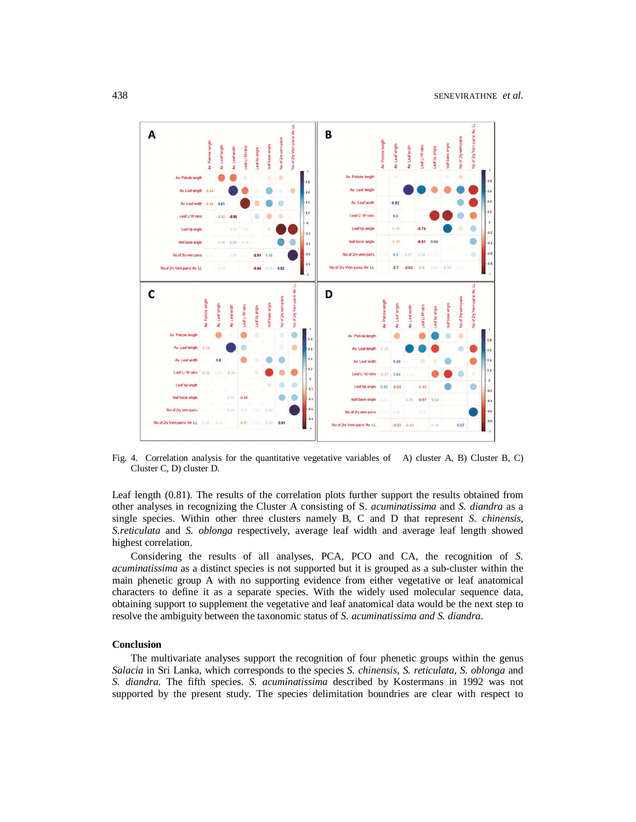

Fig. 4. Correlation analysis for the quantitative vegetative variables of A) cluster A, B) Cluster B, C) Cluster C, D) cluster D.

Leaf length (0.81). The results of the correlation plots further support the results obtained from other analyses in recognizing the Cluster A consisting of S. *acuminatissima* and *S. diandra* as a single species. Within other three clusters namely B, C and D that represent *S. chinensis, S.reticulata* and *S. oblonga* respectively, average leaf width and average leaf length showed highest correlation.

Considering the results of all analyses, PCA, PCO and CA, the recognition of *S. acuminatissima* as a distinct species is not supported but it is grouped as a sub-cluster within the main phenetic group A with no supporting evidence from either vegetative or leaf anatomical characters to define it as a separate species. With the widely used molecular sequence data, obtaining support to supplement the vegetative and leaf anatomical data would be the next step to resolve the ambiguity between the taxonomic status of *S. acuminatissima and S. diandra*.

## **Conclusion**

The multivariate analyses support the recognition of four phenetic groups within the genus *Salacia* in Sri Lanka, which corresponds to the species *S. chinensis*, *S. reticulata, S. oblonga* and *S. diandra*. The fifth species. *S. acuminatissima* described by Kostermans in 1992 was not supported by the present study. The species delimitation boundries are clear with respect to